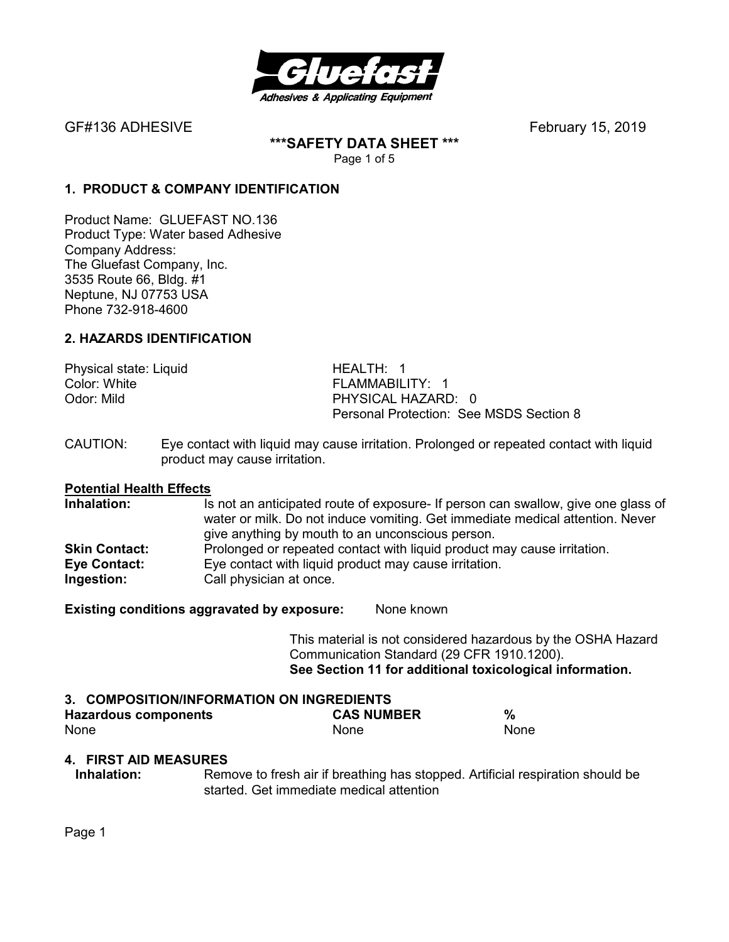

**\*\*\*SAFETY DATA SHEET \*\*\***  Page 1 of 5

### **1. PRODUCT & COMPANY IDENTIFICATION**

Product Name: GLUEFAST NO.136 Product Type: Water based Adhesive Company Address: The Gluefast Company, Inc. 3535 Route 66, Bldg. #1 Neptune, NJ 07753 USA Phone 732-918-4600

#### **2. HAZARDS IDENTIFICATION**

Physical state: Liquid HEALTH: 1 Color: White **FLAMMABILITY: 1** 

Odor: Mild **PHYSICAL HAZARD:** 0 Personal Protection: See MSDS Section 8

CAUTION: Eye contact with liquid may cause irritation. Prolonged or repeated contact with liquid product may cause irritation.

# **Potential Health Effects**

Is not an anticipated route of exposure- If person can swallow, give one glass of water or milk. Do not induce vomiting. Get immediate medical attention. Never give anything by mouth to an unconscious person. **Skin Contact:** Prolonged or repeated contact with liquid product may cause irritation. **Eye Contact:** Eye contact with liquid product may cause irritation. **Ingestion:** Call physician at once.

**Existing conditions aggravated by exposure:** None known

This material is not considered hazardous by the OSHA Hazard Communication Standard (29 CFR 1910.1200). **See Section 11 for additional toxicological information.** 

# **3. COMPOSITION/INFORMATION ON INGREDIENTS**

| <b>Hazardous components</b> | <b>CAS NUMBER</b> |      |
|-----------------------------|-------------------|------|
| None                        | <b>None</b>       | None |

#### **4. FIRST AID MEASURES**

**Inhalation:** Remove to fresh air if breathing has stopped. Artificial respiration should be started. Get immediate medical attention

Page 1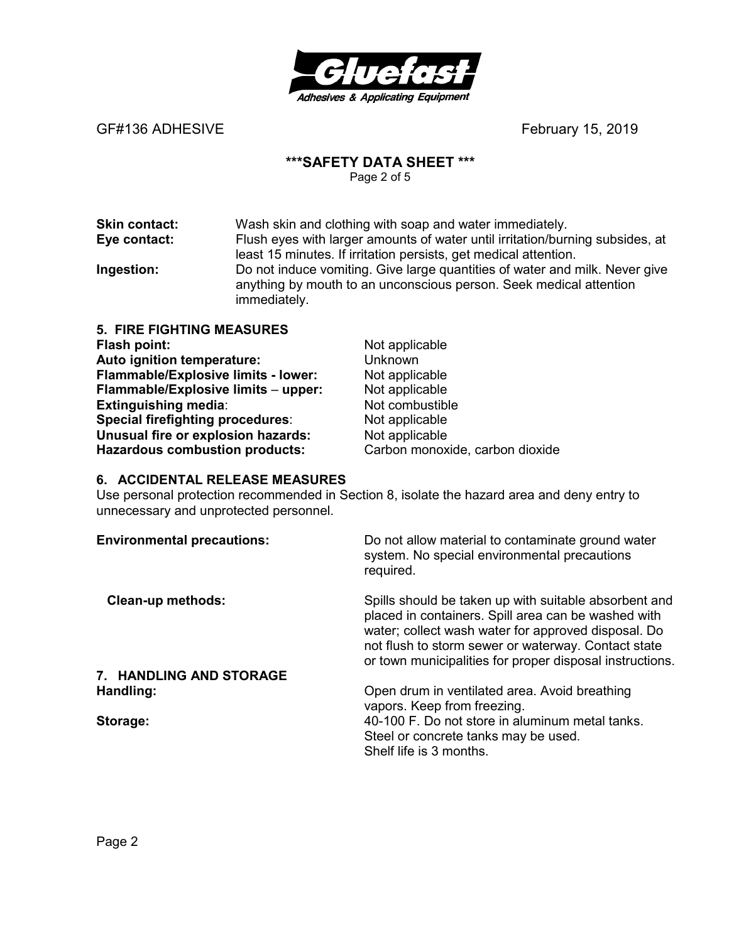

#### **\*\*\*SAFETY DATA SHEET \*\*\***

Page 2 of 5

**Skin contact:** Wash skin and clothing with soap and water immediately. **Eye contact:** Flush eyes with larger amounts of water until irritation/burning subsides, at least 15 minutes. If irritation persists, get medical attention. **Ingestion:** Do not induce vomiting. Give large quantities of water and milk. Never give anything by mouth to an unconscious person. Seek medical attention immediately.

| Not applicable                  |
|---------------------------------|
| Unknown                         |
| Not applicable                  |
| Not applicable                  |
| Not combustible                 |
| Not applicable                  |
| Not applicable                  |
| Carbon monoxide, carbon dioxide |
|                                 |

#### **6. ACCIDENTAL RELEASE MEASURES**

Use personal protection recommended in Section 8, isolate the hazard area and deny entry to unnecessary and unprotected personnel.

| <b>Environmental precautions:</b> | Do not allow material to contaminate ground water<br>system. No special environmental precautions<br>required.                                                                                                                                                                         |
|-----------------------------------|----------------------------------------------------------------------------------------------------------------------------------------------------------------------------------------------------------------------------------------------------------------------------------------|
| <b>Clean-up methods:</b>          | Spills should be taken up with suitable absorbent and<br>placed in containers. Spill area can be washed with<br>water; collect wash water for approved disposal. Do<br>not flush to storm sewer or waterway. Contact state<br>or town municipalities for proper disposal instructions. |
| 7. HANDLING AND STORAGE           |                                                                                                                                                                                                                                                                                        |
| Handling:                         | Open drum in ventilated area. Avoid breathing<br>vapors. Keep from freezing.                                                                                                                                                                                                           |
| Storage:                          | 40-100 F. Do not store in aluminum metal tanks.<br>Steel or concrete tanks may be used.<br>Shelf life is 3 months.                                                                                                                                                                     |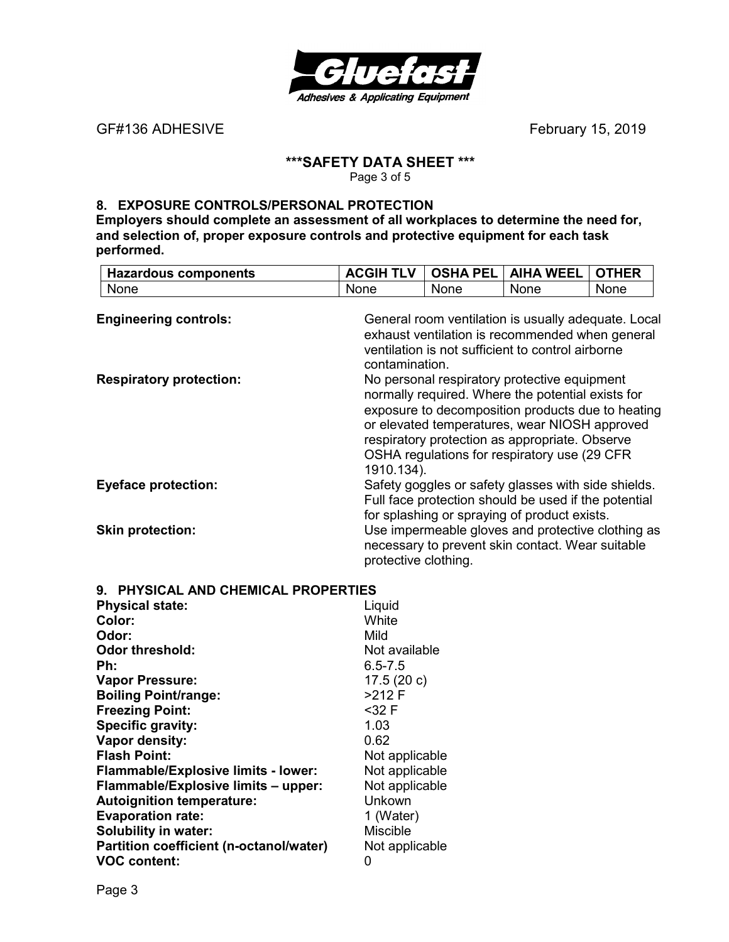

# **\*\*\*SAFETY DATA SHEET \*\*\***

Page 3 of 5

#### **8. EXPOSURE CONTROLS/PERSONAL PROTECTION**

**Employers should complete an assessment of all workplaces to determine the need for, and selection of, proper exposure controls and protective equipment for each task performed.** 

| <b>Hazardous components</b>    | <b>ACGIH TLV</b>                                                                                                                                                              | <b>OSHA PEL</b> | <b>AIHA WEEL</b>                                                                                                                                                                                                                                                                                           | <b>OTHER</b> |
|--------------------------------|-------------------------------------------------------------------------------------------------------------------------------------------------------------------------------|-----------------|------------------------------------------------------------------------------------------------------------------------------------------------------------------------------------------------------------------------------------------------------------------------------------------------------------|--------------|
| None                           | <b>None</b>                                                                                                                                                                   | <b>None</b>     | <b>None</b>                                                                                                                                                                                                                                                                                                | None         |
| <b>Engineering controls:</b>   | General room ventilation is usually adequate. Local<br>exhaust ventilation is recommended when general<br>ventilation is not sufficient to control airborne<br>contamination. |                 |                                                                                                                                                                                                                                                                                                            |              |
| <b>Respiratory protection:</b> | 1910.134).                                                                                                                                                                    |                 | No personal respiratory protective equipment<br>normally required. Where the potential exists for<br>exposure to decomposition products due to heating<br>or elevated temperatures, wear NIOSH approved<br>respiratory protection as appropriate. Observe<br>OSHA regulations for respiratory use (29 CFR) |              |
| <b>Eyeface protection:</b>     |                                                                                                                                                                               |                 | Safety goggles or safety glasses with side shields.<br>Full face protection should be used if the potential<br>for splashing or spraying of product exists.                                                                                                                                                |              |
| <b>Skin protection:</b>        | protective clothing.                                                                                                                                                          |                 | Use impermeable gloves and protective clothing as<br>necessary to prevent skin contact. Wear suitable                                                                                                                                                                                                      |              |

**9. PHYSICAL AND CHEMICAL PROPERTIES** 

| <b>Physical state:</b>                     | Liquid          |
|--------------------------------------------|-----------------|
| Color:                                     | White           |
| Odor:                                      | Mild            |
| <b>Odor threshold:</b>                     | Not available   |
| Ph:                                        | $6.5 - 7.5$     |
| <b>Vapor Pressure:</b>                     | 17.5(20c)       |
| <b>Boiling Point/range:</b>                | $>212$ F        |
| <b>Freezing Point:</b>                     | $32 F$          |
| Specific gravity:                          | 1.03            |
| Vapor density:                             | 0.62            |
| <b>Flash Point:</b>                        | Not applicable  |
| <b>Flammable/Explosive limits - lower:</b> | Not applicable  |
| Flammable/Explosive limits - upper:        | Not applicable  |
| <b>Autoignition temperature:</b>           | Unkown          |
| <b>Evaporation rate:</b>                   | 1 (Water)       |
| <b>Solubility in water:</b>                | <b>Miscible</b> |
| Partition coefficient (n-octanol/water)    | Not applicable  |
| <b>VOC content:</b>                        | 0               |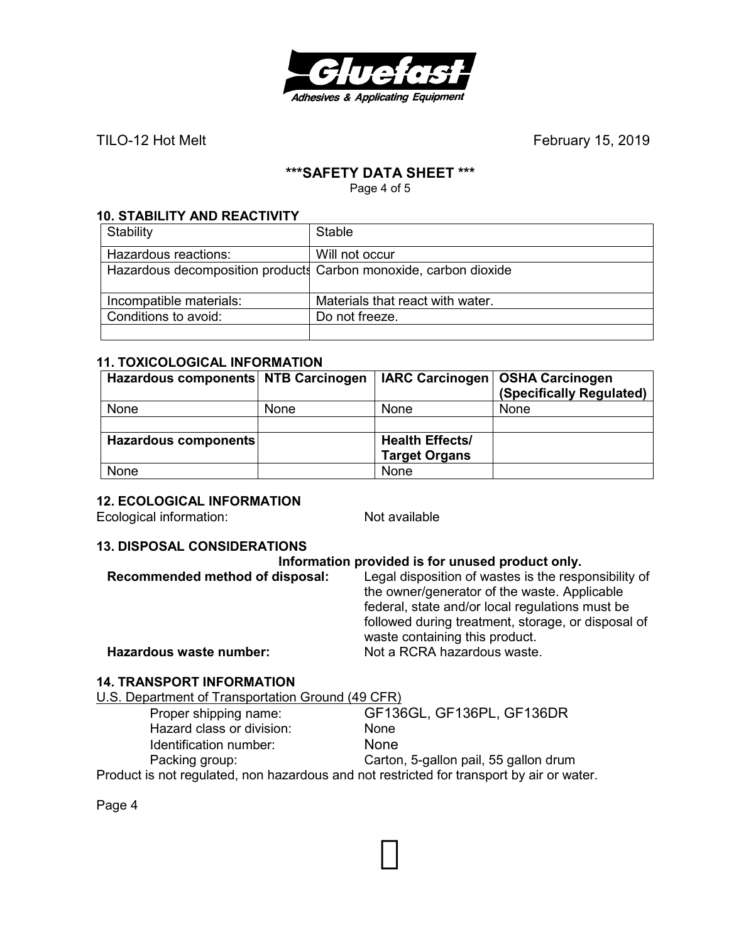

TILO-12 Hot MeltFebruary 15, 2019

# **\*\*\*SAFETY DATA SHEET \*\*\***

Page 4 of 5

#### **10. STABILITY AND REACTIVITY**

| Stability                                                        | Stable                           |
|------------------------------------------------------------------|----------------------------------|
| Hazardous reactions:                                             | Will not occur                   |
| Hazardous decomposition products Carbon monoxide, carbon dioxide |                                  |
| Incompatible materials:                                          | Materials that react with water. |
| Conditions to avoid:                                             | Do not freeze.                   |
|                                                                  |                                  |

#### **11. TOXICOLOGICAL INFORMATION**

| Hazardous components NTB Carcinogen |      |                        | IARC Carcinogen   OSHA Carcinogen<br>(Specifically Regulated) |
|-------------------------------------|------|------------------------|---------------------------------------------------------------|
| None                                | None | None                   | None                                                          |
|                                     |      |                        |                                                               |
| Hazardous components                |      | <b>Health Effects/</b> |                                                               |
|                                     |      | <b>Target Organs</b>   |                                                               |
| None                                |      | None                   |                                                               |

#### **12. ECOLOGICAL INFORMATION**

Ecological information: Not available

#### **13. DISPOSAL CONSIDERATIONS**

| Information provided is for unused product only. |                                                                                                                                                         |  |
|--------------------------------------------------|---------------------------------------------------------------------------------------------------------------------------------------------------------|--|
| Recommended method of disposal:                  | Legal disposition of wastes is the responsibility of<br>the owner/generator of the waste. Applicable<br>federal, state and/or local regulations must be |  |
| Hazardous waste number:                          | followed during treatment, storage, or disposal of<br>waste containing this product.<br>Not a RCRA hazardous waste.                                     |  |

#### **14. TRANSPORT INFORMATION**

U.S. Department of Transportation Ground (49 CFR) Proper shipping name: GF136GL, GF136PL, GF136DR Hazard class or division: None Identification number: None<br>
Packing group: Carton Carton, 5-gallon pail, 55 gallon drum

Product is not regulated, non hazardous and not restricted for transport by air or water.

Page 4